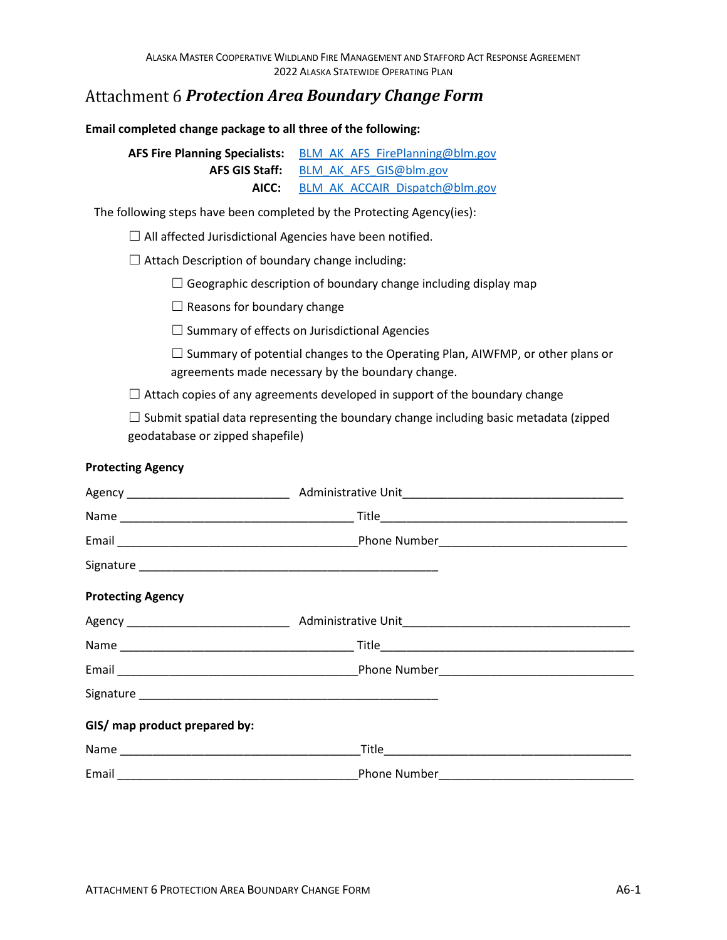## *Protection Area Boundary Change Form*

**Email completed change package to all three of the following:** 

**AFS Fire Planning Specialists:** BLM\_AK\_AFS\_FirePlanning@blm.gov  **AFS GIS Staff:** BLM\_AK\_AFS\_GIS@blm.gov  **AICC:** [BLM\\_AK\\_ACCAIR\\_Dispatch@blm.gov](mailto:BLM_AK_ACCAIR_Dispatch@blm.gov)

The following steps have been completed by the Protecting Agency(ies):

 $\Box$  All affected Jurisdictional Agencies have been notified.

 $\Box$  Attach Description of boundary change including:

 $\Box$  Geographic description of boundary change including display map

 $\Box$  Reasons for boundary change

 $\Box$  Summary of effects on Jurisdictional Agencies

 $\square$  Summary of potential changes to the Operating Plan, AIWFMP, or other plans or agreements made necessary by the boundary change.

 $\Box$  Attach copies of any agreements developed in support of the boundary change

 $\Box$  Submit spatial data representing the boundary change including basic metadata (zipped geodatabase or zipped shapefile)

## **Protecting Agency**

| <b>Protecting Agency</b>      |  |
|-------------------------------|--|
|                               |  |
|                               |  |
|                               |  |
|                               |  |
| GIS/ map product prepared by: |  |
|                               |  |
|                               |  |